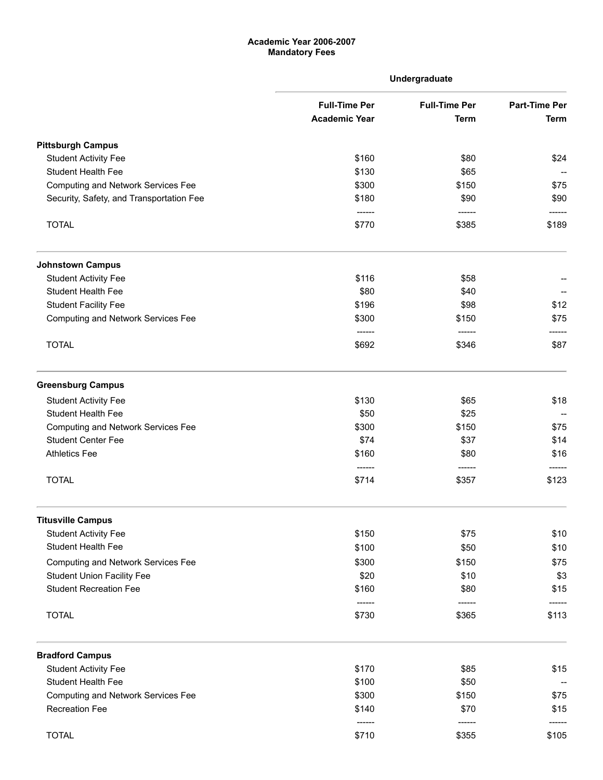## Academic Year 2006-2007 Mandatory Fees

|                                           |                                              | Undergraduate                       |                                     |
|-------------------------------------------|----------------------------------------------|-------------------------------------|-------------------------------------|
|                                           | <b>Full-Time Per</b><br><b>Academic Year</b> | <b>Full-Time Per</b><br><b>Term</b> | <b>Part-Time Per</b><br><b>Term</b> |
| <b>Pittsburgh Campus</b>                  |                                              |                                     |                                     |
| <b>Student Activity Fee</b>               | \$160                                        | \$80                                | \$24                                |
| <b>Student Health Fee</b>                 | \$130                                        | \$65                                |                                     |
| <b>Computing and Network Services Fee</b> | \$300                                        | \$150                               | \$75                                |
| Security, Safety, and Transportation Fee  | \$180<br>------                              | \$90<br>------                      | \$90                                |
| <b>TOTAL</b>                              | \$770                                        | \$385                               | \$189                               |
| <b>Johnstown Campus</b>                   |                                              |                                     |                                     |
| <b>Student Activity Fee</b>               | \$116                                        | \$58                                |                                     |
| Student Health Fee                        | \$80                                         | \$40                                |                                     |
| <b>Student Facility Fee</b>               | \$196                                        | \$98                                | \$12                                |
| <b>Computing and Network Services Fee</b> | \$300<br>------                              | \$150<br>------                     | \$75                                |
| <b>TOTAL</b>                              | \$692                                        | \$346                               | \$87                                |
| <b>Greensburg Campus</b>                  |                                              |                                     |                                     |
| <b>Student Activity Fee</b>               | \$130                                        | \$65                                | \$18                                |
| Student Health Fee                        | \$50                                         | \$25                                |                                     |
| <b>Computing and Network Services Fee</b> | \$300                                        | \$150                               | \$75                                |
| <b>Student Center Fee</b>                 | \$74                                         | \$37                                | \$14                                |
| <b>Athletics Fee</b>                      | \$160                                        | \$80                                | \$16                                |
| <b>TOTAL</b>                              | \$714                                        | \$357                               | \$123                               |
| <b>Titusville Campus</b>                  |                                              |                                     |                                     |
| <b>Student Activity Fee</b>               | \$150                                        | \$75                                | \$10                                |
| <b>Student Health Fee</b>                 | \$100                                        | \$50                                | \$10                                |
| <b>Computing and Network Services Fee</b> | \$300                                        | \$150                               | \$75                                |
| <b>Student Union Facility Fee</b>         | \$20                                         | \$10                                | \$3                                 |
| <b>Student Recreation Fee</b>             | \$160                                        | \$80                                | \$15                                |
| <b>TOTAL</b>                              | ------<br>\$730                              | ------<br>\$365                     | \$113                               |
| <b>Bradford Campus</b>                    |                                              |                                     |                                     |
| <b>Student Activity Fee</b>               | \$170                                        | \$85                                | \$15                                |
| <b>Student Health Fee</b>                 | \$100                                        | \$50                                |                                     |
| <b>Computing and Network Services Fee</b> | \$300                                        | \$150                               | \$75                                |
| Recreation Fee                            | \$140<br>------                              | \$70<br>------                      | \$15                                |
| <b>TOTAL</b>                              | \$710                                        | \$355                               | \$105                               |